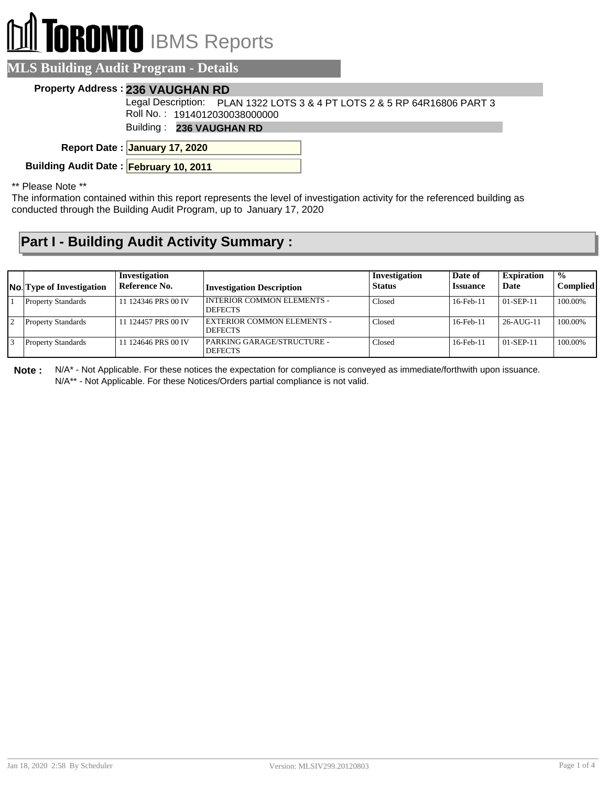# **RONTO** IBMS Reports

### **MLS Building Audit Program - Details**

#### **Property Address : 236 VAUGHAN RD**

Legal Description: PLAN 1322 LOTS 3 & 4 PT LOTS 2 & 5 RP 64R16806 PART 3 Roll No. : 1914012030038000000

Building : **236 VAUGHAN RD**

**January 17, 2020 Report Date :**

**Building Audit Date : February 10, 2011**

#### \*\* Please Note \*\*

The information contained within this report represents the level of investigation activity for the referenced building as conducted through the Building Audit Program, up to January 17, 2020

## **Part I - Building Audit Activity Summary :**

| <b>No.</b> Type of Investigation | Investigation<br>Reference No. | <b>Investigation Description</b>                    | Investigation<br><b>Status</b> | Date of<br><b>Issuance</b> | <b>Expiration</b><br>Date | $\frac{0}{0}$<br>Complied |
|----------------------------------|--------------------------------|-----------------------------------------------------|--------------------------------|----------------------------|---------------------------|---------------------------|
| <b>Property Standards</b>        | 11 124346 PRS 00 IV            | I INTERIOR COMMON ELEMENTS -<br><b>DEFECTS</b>      | Closed                         | 16-Feb-11                  | $01-$ SEP-11              | 100.00%                   |
| <b>Property Standards</b>        | 11 124457 PRS 00 IV            | EXTERIOR COMMON ELEMENTS -<br><b>DEFECTS</b>        | Closed                         | $16$ -Feb- $11$            | $26 - A UG - 11$          | 100.00%                   |
| <b>Property Standards</b>        | 11 124646 PRS 00 IV            | <b>PARKING GARAGE/STRUCTURE -</b><br><b>DEFECTS</b> | Closed                         | $16$ -Feb- $11$            | $01-$ SEP-11              | 100.00%                   |

**Note :** N/A\* - Not Applicable. For these notices the expectation for compliance is conveyed as immediate/forthwith upon issuance. N/A\*\* - Not Applicable. For these Notices/Orders partial compliance is not valid.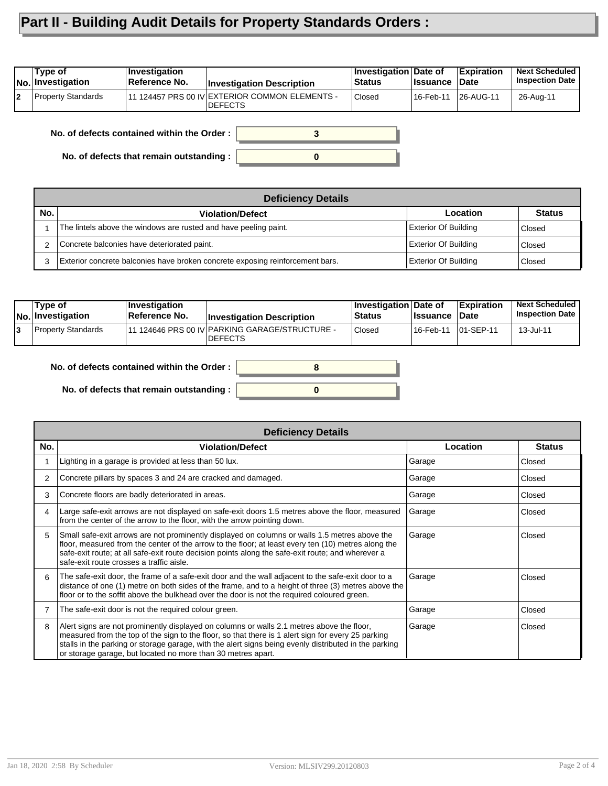# **Part II - Building Audit Details for Property Standards Orders :**

| 11 124457 PRS 00 IV EXTERIOR COMMON ELEMENTS -<br>Property Standards<br><b>Closed</b><br> 26-AUG-11<br>16-Feb-11 | Type of<br><b>INo.</b> Investigation | ∣Investiqation<br>Reference No. | <b>Investigation Description</b> | <b>Investigation Date of</b><br><b>Status</b> | <b>Issuance</b> | <b>Expiration</b><br><b>Date</b> | <b>Next Scheduled</b><br><b>Inspection Date</b> |
|------------------------------------------------------------------------------------------------------------------|--------------------------------------|---------------------------------|----------------------------------|-----------------------------------------------|-----------------|----------------------------------|-------------------------------------------------|
|                                                                                                                  |                                      |                                 | <b>DEFECTS</b>                   |                                               |                 |                                  | 26-Aug-11                                       |

**No. of defects contained within the Order :**

**No. of defects that remain outstanding :**

|     | <b>Deficiency Details</b>                                                     |                             |               |  |  |  |  |  |  |  |  |
|-----|-------------------------------------------------------------------------------|-----------------------------|---------------|--|--|--|--|--|--|--|--|
| No. | <b>Violation/Defect</b>                                                       | Location                    | <b>Status</b> |  |  |  |  |  |  |  |  |
|     | The lintels above the windows are rusted and have peeling paint.              | <b>Exterior Of Building</b> | Closed        |  |  |  |  |  |  |  |  |
|     | Concrete balconies have deteriorated paint.                                   | <b>Exterior Of Building</b> | Closed        |  |  |  |  |  |  |  |  |
| 3   | Exterior concrete balconies have broken concrete exposing reinforcement bars. | <b>Exterior Of Building</b> | Closed        |  |  |  |  |  |  |  |  |

**0**

**3**

| Type of<br>No. Investigation | $ $ Investigation<br>∣Reference No. | <b>Investigation Description</b>                                  | <b>Investigation Date of</b><br><b>Status</b> | <b>Issuance Date</b> | <b>Expiration</b> | <b>Next Scheduled</b><br><b>Inspection Date I</b> |
|------------------------------|-------------------------------------|-------------------------------------------------------------------|-----------------------------------------------|----------------------|-------------------|---------------------------------------------------|
| <b>Property Standards</b>    |                                     | 111 124646 PRS 00 IV PARKING GARAGE/STRUCTURE -<br><b>DEFECTS</b> | Closed                                        | l 16-Feb-11          | $ 01-SEP-11$      | 13-Jul-11                                         |

**0**

**8**

**No. of defects contained within the Order :**

**No. of defects that remain outstanding :**

|     | <b>Deficiency Details</b>                                                                                                                                                                                                                                                                                                                                                |          |               |  |  |  |  |
|-----|--------------------------------------------------------------------------------------------------------------------------------------------------------------------------------------------------------------------------------------------------------------------------------------------------------------------------------------------------------------------------|----------|---------------|--|--|--|--|
| No. | <b>Violation/Defect</b>                                                                                                                                                                                                                                                                                                                                                  | Location | <b>Status</b> |  |  |  |  |
|     | Lighting in a garage is provided at less than 50 lux.                                                                                                                                                                                                                                                                                                                    | Garage   | Closed        |  |  |  |  |
| 2   | Concrete pillars by spaces 3 and 24 are cracked and damaged.                                                                                                                                                                                                                                                                                                             | Garage   | Closed        |  |  |  |  |
| 3   | Concrete floors are badly deteriorated in areas.                                                                                                                                                                                                                                                                                                                         | Garage   | Closed        |  |  |  |  |
| 4   | Large safe-exit arrows are not displayed on safe-exit doors 1.5 metres above the floor, measured<br>from the center of the arrow to the floor, with the arrow pointing down.                                                                                                                                                                                             | Garage   | Closed        |  |  |  |  |
| 5   | Small safe-exit arrows are not prominently displayed on columns or walls 1.5 metres above the<br>floor, measured from the center of the arrow to the floor; at least every ten (10) metres along the<br>safe-exit route; at all safe-exit route decision points along the safe-exit route; and wherever a<br>safe-exit route crosses a traffic aisle.                    | Garage   | Closed        |  |  |  |  |
| 6   | The safe-exit door, the frame of a safe-exit door and the wall adjacent to the safe-exit door to a<br>distance of one (1) metre on both sides of the frame, and to a height of three (3) metres above the<br>floor or to the soffit above the bulkhead over the door is not the required coloured green.                                                                 | Garage   | Closed        |  |  |  |  |
|     | The safe-exit door is not the required colour green.                                                                                                                                                                                                                                                                                                                     | Garage   | Closed        |  |  |  |  |
| 8   | Alert signs are not prominently displayed on columns or walls 2.1 metres above the floor,<br>measured from the top of the sign to the floor, so that there is 1 alert sign for every 25 parking<br>stalls in the parking or storage garage, with the alert signs being evenly distributed in the parking<br>or storage garage, but located no more than 30 metres apart. | Garage   | Closed        |  |  |  |  |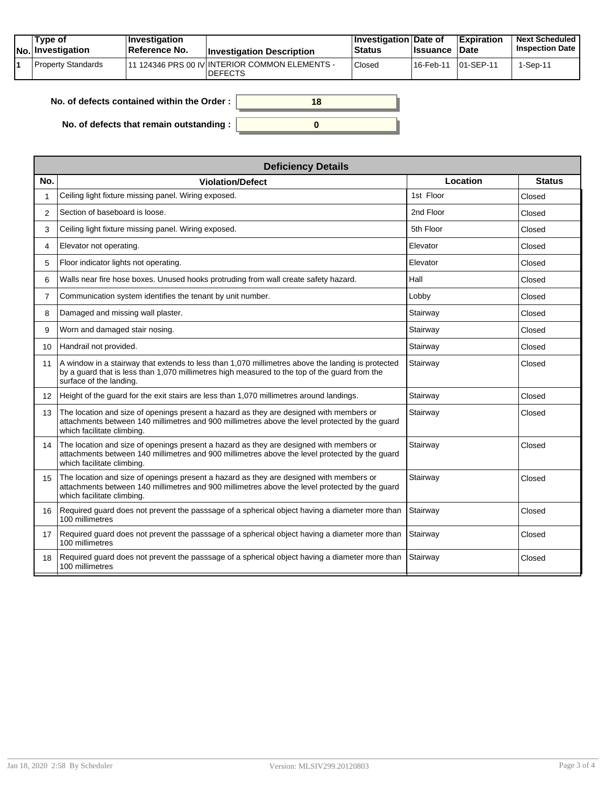|  | Tvpe of<br><b>No.</b> Investigation | <b>Investigation</b><br>Reference No. | <b>Investigation Description</b>                                  | <b>∣Investigation Date of</b><br><b>Status</b> | <b>Ilssuance Date</b> | <b>Expiration</b> | <b>Next Scheduled</b><br><b>Inspection Date</b> |
|--|-------------------------------------|---------------------------------------|-------------------------------------------------------------------|------------------------------------------------|-----------------------|-------------------|-------------------------------------------------|
|  | Property Standards                  |                                       | 111 124346 PRS 00 IV INTERIOR COMMON ELEMENTS -<br><b>DEFECTS</b> | Closed                                         | 16-Feb-11             | $ 01-SEP-11$      | 1-Sep-11                                        |

| No. of defects contained within the Order : $\, \,$ | 18 |
|-----------------------------------------------------|----|
| No. of defects that remain outstanding : $\vert$    |    |

|                 | <b>Deficiency Details</b>                                                                                                                                                                                                             |           |               |  |  |  |  |  |
|-----------------|---------------------------------------------------------------------------------------------------------------------------------------------------------------------------------------------------------------------------------------|-----------|---------------|--|--|--|--|--|
| No.             | <b>Violation/Defect</b>                                                                                                                                                                                                               | Location  | <b>Status</b> |  |  |  |  |  |
| 1               | Ceiling light fixture missing panel. Wiring exposed.                                                                                                                                                                                  | 1st Floor | Closed        |  |  |  |  |  |
| 2               | Section of baseboard is loose.                                                                                                                                                                                                        | 2nd Floor | Closed        |  |  |  |  |  |
| 3               | Ceiling light fixture missing panel. Wiring exposed.                                                                                                                                                                                  | 5th Floor | Closed        |  |  |  |  |  |
| 4               | Elevator not operating.                                                                                                                                                                                                               | Elevator  | Closed        |  |  |  |  |  |
| 5               | Floor indicator lights not operating.                                                                                                                                                                                                 | Elevator  | Closed        |  |  |  |  |  |
| 6               | Walls near fire hose boxes. Unused hooks protruding from wall create safety hazard.                                                                                                                                                   | Hall      | Closed        |  |  |  |  |  |
| $\overline{7}$  | Communication system identifies the tenant by unit number.                                                                                                                                                                            | Lobby     | Closed        |  |  |  |  |  |
| 8               | Damaged and missing wall plaster.                                                                                                                                                                                                     | Stairway  | Closed        |  |  |  |  |  |
| 9               | Worn and damaged stair nosing.                                                                                                                                                                                                        | Stairway  | Closed        |  |  |  |  |  |
| 10 <sup>1</sup> | Handrail not provided.                                                                                                                                                                                                                | Stairway  | Closed        |  |  |  |  |  |
| 11              | $\vert$ A window in a stairway that extends to less than 1,070 millimetres above the landing is protected<br>by a guard that is less than 1,070 millimetres high measured to the top of the guard from the<br>surface of the landing. | Stairway  | Closed        |  |  |  |  |  |
| 12              | Height of the guard for the exit stairs are less than 1,070 millimetres around landings.                                                                                                                                              | Stairway  | Closed        |  |  |  |  |  |
| 13              | The location and size of openings present a hazard as they are designed with members or<br>attachments between 140 millimetres and 900 millimetres above the level protected by the quard<br>which facilitate climbing.               | Stairway  | Closed        |  |  |  |  |  |
| 14              | The location and size of openings present a hazard as they are designed with members or<br>attachments between 140 millimetres and 900 millimetres above the level protected by the quard<br>which facilitate climbing.               | Stairway  | Closed        |  |  |  |  |  |
| 15              | The location and size of openings present a hazard as they are designed with members or<br>attachments between 140 millimetres and 900 millimetres above the level protected by the guard<br>which facilitate climbing.               | Stairway  | Closed        |  |  |  |  |  |
| 16              | Required guard does not prevent the passsage of a spherical object having a diameter more than<br>100 millimetres                                                                                                                     | Stairway  | Closed        |  |  |  |  |  |
| 17              | Required guard does not prevent the passsage of a spherical object having a diameter more than<br>100 millimetres                                                                                                                     | Stairway  | Closed        |  |  |  |  |  |
| 18              | Required guard does not prevent the passsage of a spherical object having a diameter more than<br>100 millimetres                                                                                                                     | Stairway  | Closed        |  |  |  |  |  |